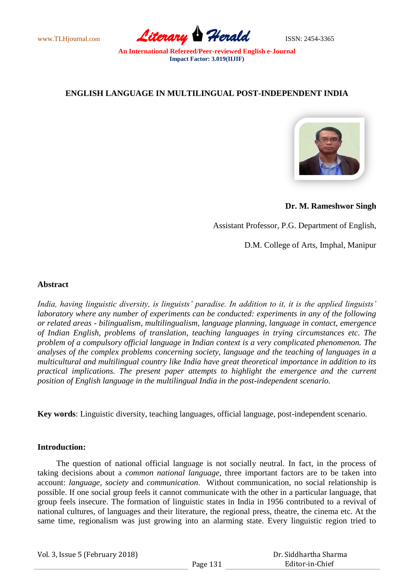

# **ENGLISH LANGUAGE IN MULTILINGUAL POST-INDEPENDENT INDIA**



**Dr. M. Rameshwor Singh**

Assistant Professor, P.G. Department of English,

D.M. College of Arts, Imphal, Manipur

## **Abstract**

*India, having linguistic diversity, is linguists' paradise. In addition to it, it is the applied linguists' laboratory where any number of experiments can be conducted: experiments in any of the following or related areas - bilingualism, multilingualism, language planning, language in contact, emergence of Indian English, problems of translation, teaching languages in trying circumstances etc. The problem of a compulsory official language in Indian context is a very complicated phenomenon. The analyses of the complex problems concerning society, language and the teaching of languages in a multicultural and multilingual country like India have great theoretical importance in addition to its practical implications. The present paper attempts to highlight the emergence and the current position of English language in the multilingual India in the post-independent scenario.*

**Key words**: Linguistic diversity, teaching languages, official language, post-independent scenario.

## **Introduction:**

 The question of national official language is not socially neutral. In fact, in the process of taking decisions about a *common national language*, three important factors are to be taken into account: *language, society* and *communication*. Without communication, no social relationship is possible. If one social group feels it cannot communicate with the other in a particular language, that group feels insecure. The formation of linguistic states in India in 1956 contributed to a revival of national cultures, of languages and their literature, the regional press, theatre, the cinema etc. At the same time, regionalism was just growing into an alarming state. Every linguistic region tried to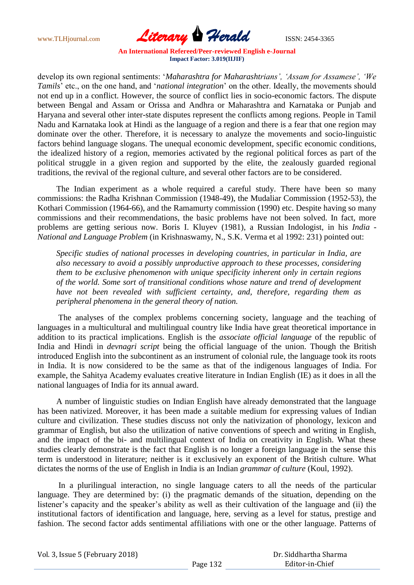

develop its own regional sentiments: "*Maharashtra for Maharashtrians', 'Assam for Assamese', 'We Tamils*" etc., on the one hand, and "*national integration*" on the other. Ideally, the movements should not end up in a conflict. However, the source of conflict lies in socio-economic factors. The dispute between Bengal and Assam or Orissa and Andhra or Maharashtra and Karnataka or Punjab and Haryana and several other inter-state disputes represent the conflicts among regions. People in Tamil Nadu and Karnataka look at Hindi as the language of a region and there is a fear that one region may dominate over the other. Therefore, it is necessary to analyze the movements and socio-linguistic factors behind language slogans. The unequal economic development, specific economic conditions, the idealized history of a region, memories activated by the regional political forces as part of the political struggle in a given region and supported by the elite, the zealously guarded regional traditions, the revival of the regional culture, and several other factors are to be considered.

 The Indian experiment as a whole required a careful study. There have been so many commissions: the Radha Krishnan Commission (1948-49), the Mudaliar Commission (1952-53), the Kothari Commission (1964-66), and the Ramamurty commission (1990) etc. Despite having so many commissions and their recommendations, the basic problems have not been solved. In fact, more problems are getting serious now. Boris I. Kluyev (1981), a Russian Indologist, in his *India - National and Language Problem* (in Krishnaswamy, N., S.K. Verma et al 1992: 231) pointed out:

 *Specific studies of national processes in developing countries, in particular in India, are also necessary to avoid a possibly unproductive approach to these processes, considering them to be exclusive phenomenon with unique specificity inherent only in certain regions of the world. Some sort of transitional conditions whose nature and trend of development have not been revealed with sufficient certainty, and, therefore, regarding them as peripheral phenomena in the general theory of nation.*

 The analyses of the complex problems concerning society, language and the teaching of languages in a multicultural and multilingual country like India have great theoretical importance in addition to its practical implications. English is the *associate official language* of the republic of India and Hindi in *devnagri script* being the official language of the union. Though the British introduced English into the subcontinent as an instrument of colonial rule, the language took its roots in India. It is now considered to be the same as that of the indigenous languages of India. For example, the Sahitya Academy evaluates creative literature in Indian English (IE) as it does in all the national languages of India for its annual award.

 A number of linguistic studies on Indian English have already demonstrated that the language has been nativized. Moreover, it has been made a suitable medium for expressing values of Indian culture and civilization. These studies discuss not only the nativization of phonology, lexicon and grammar of English, but also the utilization of native conventions of speech and writing in English, and the impact of the bi- and multilingual context of India on creativity in English. What these studies clearly demonstrate is the fact that English is no longer a foreign language in the sense this term is understood in literature; neither is it exclusively an exponent of the British culture. What dictates the norms of the use of English in India is an Indian *grammar of culture* (Koul, 1992).

 In a plurilingual interaction, no single language caters to all the needs of the particular language. They are determined by: (i) the pragmatic demands of the situation, depending on the listener's capacity and the speaker's ability as well as their cultivation of the language and (ii) the institutional factors of identification and language, here, serving as a level for status, prestige and fashion. The second factor adds sentimental affiliations with one or the other language. Patterns of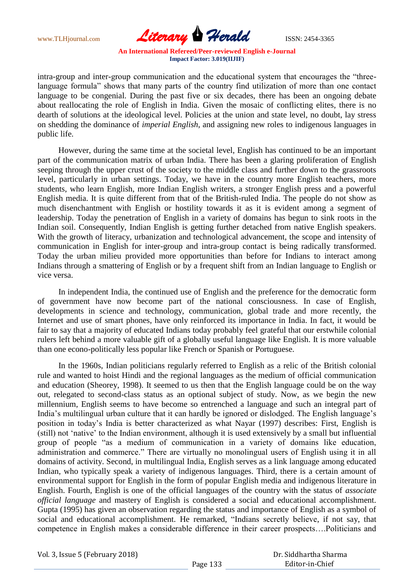

intra-group and inter-group communication and the educational system that encourages the "threelanguage formula" shows that many parts of the country find utilization of more than one contact language to be congenial. During the past five or six decades, there has been an ongoing debate about reallocating the role of English in India. Given the mosaic of conflicting elites, there is no dearth of solutions at the ideological level. Policies at the union and state level, no doubt, lay stress on shedding the dominance of *imperial English*, and assigning new roles to indigenous languages in public life.

 However, during the same time at the societal level, English has continued to be an important part of the communication matrix of urban India. There has been a glaring proliferation of English seeping through the upper crust of the society to the middle class and further down to the grassroots level, particularly in urban settings. Today, we have in the country more English teachers, more students, who learn English, more Indian English writers, a stronger English press and a powerful English media. It is quite different from that of the British-ruled India. The people do not show as much disenchantment with English or hostility towards it as it is evident among a segment of leadership. Today the penetration of English in a variety of domains has begun to sink roots in the Indian soil. Consequently, Indian English is getting further detached from native English speakers. With the growth of literacy, urbanization and technological advancement, the scope and intensity of communication in English for inter-group and intra-group contact is being radically transformed. Today the urban milieu provided more opportunities than before for Indians to interact among Indians through a smattering of English or by a frequent shift from an Indian language to English or vice versa.

 In independent India, the continued use of English and the preference for the democratic form of government have now become part of the national consciousness. In case of English, developments in science and technology, communication, global trade and more recently, the Internet and use of smart phones, have only reinforced its importance in India. In fact, it would be fair to say that a majority of educated Indians today probably feel grateful that our erstwhile colonial rulers left behind a more valuable gift of a globally useful language like English. It is more valuable than one econo-politically less popular like French or Spanish or Portuguese.

 In the 1960s, Indian politicians regularly referred to English as a relic of the British colonial rule and wanted to hoist Hindi and the regional languages as the medium of official communication and education (Sheorey, 1998). It seemed to us then that the English language could be on the way out, relegated to second-class status as an optional subject of study. Now, as we begin the new millennium, English seems to have become so entrenched a language and such an integral part of India's multilingual urban culture that it can hardly be ignored or dislodged. The English language's position in today"s India is better characterized as what Nayar (1997) describes: First, English is (still) not "native" to the Indian environment, although it is used extensively by a small but influential group of people "as a medium of communication in a variety of domains like education, administration and commerce." There are virtually no monolingual users of English using it in all domains of activity. Second, in multilingual India, English serves as a link language among educated Indian, who typically speak a variety of indigenous languages. Third, there is a certain amount of environmental support for English in the form of popular English media and indigenous literature in English. Fourth, English is one of the official languages of the country with the status of *associate official language* and mastery of English is considered a social and educational accomplishment. Gupta (1995) has given an observation regarding the status and importance of English as a symbol of social and educational accomplishment. He remarked, "Indians secretly believe, if not say, that competence in English makes a considerable difference in their career prospects….Politicians and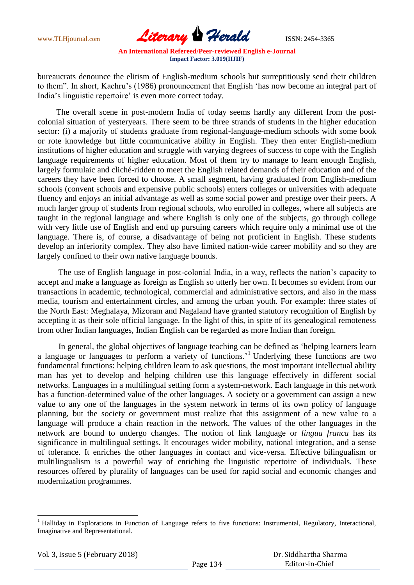

bureaucrats denounce the elitism of English-medium schools but surreptitiously send their children to them". In short, Kachru"s (1986) pronouncement that English "has now become an integral part of India's linguistic repertoire' is even more correct today.

 The overall scene in post-modern India of today seems hardly any different from the postcolonial situation of yesteryears. There seem to be three strands of students in the higher education sector: (i) a majority of students graduate from regional-language-medium schools with some book or rote knowledge but little communicative ability in English. They then enter English-medium institutions of higher education and struggle with varying degrees of success to cope with the English language requirements of higher education. Most of them try to manage to learn enough English, largely formulaic and cliché-ridden to meet the English related demands of their education and of the careers they have been forced to choose. A small segment, having graduated from English-medium schools (convent schools and expensive public schools) enters colleges or universities with adequate fluency and enjoys an initial advantage as well as some social power and prestige over their peers. A much larger group of students from regional schools, who enrolled in colleges, where all subjects are taught in the regional language and where English is only one of the subjects, go through college with very little use of English and end up pursuing careers which require only a minimal use of the language. There is, of course, a disadvantage of being not proficient in English. These students develop an inferiority complex*.* They also have limited nation-wide career mobility and so they are largely confined to their own native language bounds.

 The use of English language in post-colonial India, in a way, reflects the nation"s capacity to accept and make a language as foreign as English so utterly her own. It becomes so evident from our transactions in academic, technological, commercial and administrative sectors, and also in the mass media, tourism and entertainment circles, and among the urban youth. For example: three states of the North East: Meghalaya, Mizoram and Nagaland have granted statutory recognition of English by accepting it as their sole official language. In the light of this, in spite of its genealogical remoteness from other Indian languages, Indian English can be regarded as more Indian than foreign.

 In general, the global objectives of language teaching can be defined as "helping learners learn a language or languages to perform a variety of functions."<sup>1</sup> Underlying these functions are two fundamental functions: helping children learn to ask questions, the most important intellectual ability man has yet to develop and helping children use this language effectively in different social networks. Languages in a multilingual setting form a system-network. Each language in this network has a function-determined value of the other languages. A society or a government can assign a new value to any one of the languages in the system network in terms of its own policy of language planning, but the society or government must realize that this assignment of a new value to a language will produce a chain reaction in the network. The values of the other languages in the network are bound to undergo changes. The notion of link language or *lingua franca* has its significance in multilingual settings. It encourages wider mobility, national integration, and a sense of tolerance. It enriches the other languages in contact and vice-versa. Effective bilingualism or multilingualism is a powerful way of enriching the linguistic repertoire of individuals. These resources offered by plurality of languages can be used for rapid social and economic changes and modernization programmes.

1

<sup>&</sup>lt;sup>1</sup> Halliday in Explorations in Function of Language refers to five functions: Instrumental, Regulatory, Interactional, Imaginative and Representational.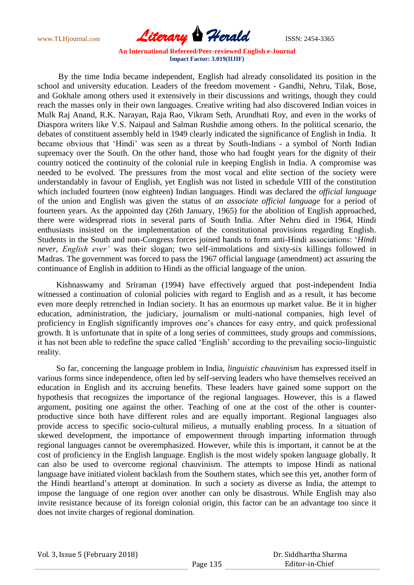

 By the time India became independent, English had already consolidated its position in the school and university education. Leaders of the freedom movement - Gandhi, Nehru, Tilak, Bose, and Gokhale among others used it extensively in their discussions and writings, though they could reach the masses only in their own languages. Creative writing had also discovered Indian voices in Mulk Raj Anand, R.K. Narayan, Raja Rao, Vikram Seth, Arundhati Roy, and even in the works of Diaspora writers like V.S. Naipaul and Salman Rushdie among others. In the political scenario, the debates of constituent assembly held in 1949 clearly indicated the significance of English in India. It became obvious that "Hindi" was seen as a threat by South-Indians - a symbol of North Indian supremacy over the South. On the other hand, those who had fought years for the dignity of their country noticed the continuity of the colonial rule in keeping English in India. A compromise was needed to be evolved. The pressures from the most vocal and elite section of the society were understandably in favour of English, yet English was not listed in schedule VIII of the constitution which included fourteen (now eighteen) Indian languages. Hindi was declared the *official language* of the union and English was given the status of *an associate official language* for a period of fourteen years. As the appointed day (26th January, 1965) for the abolition of English approached, there were widespread riots in several parts of South India. After Nehru died in 1964, Hindi enthusiasts insisted on the implementation of the constitutional provisions regarding English. Students in the South and non-Congress forces joined hands to form anti-Hindi associations: "*Hindi never, English ever'* was their slogan; two self-immolations and sixty-six killings followed in Madras. The government was forced to pass the 1967 official language (amendment) act assuring the continuance of English in addition to Hindi as the official language of the union.

 Kishnaswamy and Sriraman (1994) have effectively argued that post-independent India witnessed a continuation of colonial policies with regard to English and as a result, it has become even more deeply retrenched in Indian society. It has an enormous up market value. Be it in higher education, administration, the judiciary, journalism or multi-national companies, high level of proficiency in English significantly improves one"s chances for easy entry, and quick professional growth. It is unfortunate that in spite of a long series of committees, study groups and commissions, it has not been able to redefine the space called "English" according to the prevailing socio-linguistic reality.

 So far, concerning the language problem in India, *linguistic chauvinism* has expressed itself in various forms since independence, often led by self-serving leaders who have themselves received an education in English and its accruing benefits. These leaders have gained some support on the hypothesis that recognizes the importance of the regional languages. However, this is a flawed argument, positing one against the other. Teaching of one at the cost of the other is counterproductive since both have different roles and are equally important. Regional languages also provide access to specific socio-cultural milieus, a mutually enabling process. In a situation of skewed development, the importance of empowerment through imparting information through regional languages cannot be overemphasized. However, while this is important, it cannot be at the cost of proficiency in the English language. English is the most widely spoken language globally. It can also be used to overcome regional chauvinism. The attempts to impose Hindi as national language have initiated violent backlash from the Southern states, which see this yet, another form of the Hindi heartland"s attempt at domination. In such a society as diverse as India, the attempt to impose the language of one region over another can only be disastrous. While English may also invite resistance because of its foreign colonial origin, this factor can be an advantage too since it does not invite charges of regional domination.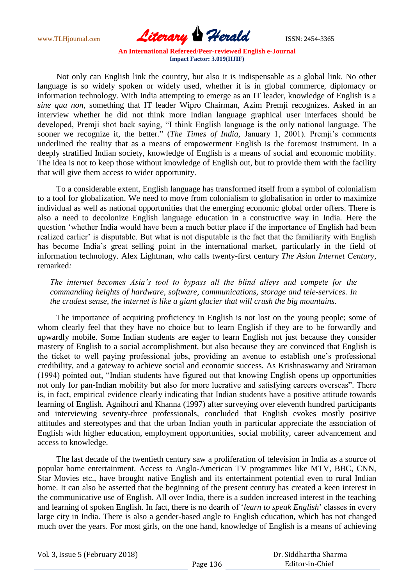

 Not only can English link the country, but also it is indispensable as a global link. No other language is so widely spoken or widely used, whether it is in global commerce, diplomacy or information technology. With India attempting to emerge as an IT leader, knowledge of English is a *sine qua non*, something that IT leader Wipro Chairman, Azim Premji recognizes. Asked in an interview whether he did not think more Indian language graphical user interfaces should be developed, Premji shot back saying, "I think English language is the only national language. The sooner we recognize it, the better." (*The Times of India*, January 1, 2001). Premji's comments underlined the reality that as a means of empowerment English is the foremost instrument. In a deeply stratified Indian society, knowledge of English is a means of social and economic mobility. The idea is not to keep those without knowledge of English out, but to provide them with the facility that will give them access to wider opportunity.

 To a considerable extent, English language has transformed itself from a symbol of colonialism to a tool for globalization. We need to move from colonialism to globalisation in order to maximize individual as well as national opportunities that the emerging economic global order offers. There is also a need to decolonize English language education in a constructive way in India. Here the question "whether India would have been a much better place if the importance of English had been realized earlier' is disputable. But what is not disputable is the fact that the familiarity with English has become India's great selling point in the international market, particularly in the field of information technology. Alex Lightman, who calls twenty-first century *The Asian Internet Century,*  remarked*:*

 *The internet becomes Asia's tool to bypass all the blind alleys and compete for the commanding heights of hardware, software, communications, storage and tele-services. In the crudest sense, the internet is like a giant glacier that will crush the big mountains*.

 The importance of acquiring proficiency in English is not lost on the young people; some of whom clearly feel that they have no choice but to learn English if they are to be forwardly and upwardly mobile. Some Indian students are eager to learn English not just because they consider mastery of English to a social accomplishment, but also because they are convinced that English is the ticket to well paying professional jobs, providing an avenue to establish one"s professional credibility, and a gateway to achieve social and economic success. As Krishnaswamy and Sriraman (1994) pointed out, "Indian students have figured out that knowing English opens up opportunities not only for pan-Indian mobility but also for more lucrative and satisfying careers overseas". There is, in fact, empirical evidence clearly indicating that Indian students have a positive attitude towards learning of English. Agnihotri and Khanna (1997) after surveying over eleventh hundred participants and interviewing seventy-three professionals, concluded that English evokes mostly positive attitudes and stereotypes and that the urban Indian youth in particular appreciate the association of English with higher education, employment opportunities, social mobility, career advancement and access to knowledge.

 The last decade of the twentieth century saw a proliferation of television in India as a source of popular home entertainment. Access to Anglo-American TV programmes like MTV, BBC, CNN, Star Movies etc., have brought native English and its entertainment potential even to rural Indian home. It can also be asserted that the beginning of the present century has created a keen interest in the communicative use of English. All over India, there is a sudden increased interest in the teaching and learning of spoken English. In fact, there is no dearth of "*learn to speak English*" classes in every large city in India. There is also a gender-based angle to English education, which has not changed much over the years. For most girls, on the one hand, knowledge of English is a means of achieving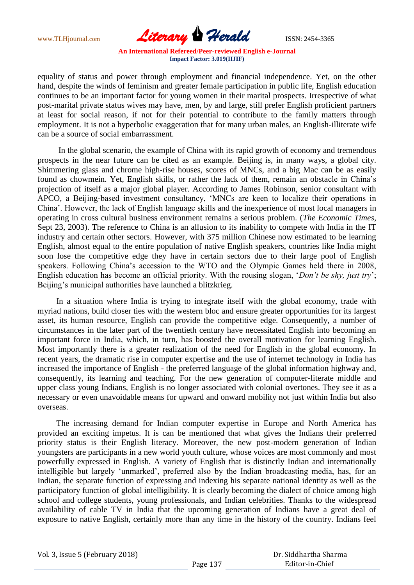

equality of status and power through employment and financial independence. Yet, on the other hand, despite the winds of feminism and greater female participation in public life, English education continues to be an important factor for young women in their marital prospects. Irrespective of what post-marital private status wives may have, men, by and large, still prefer English proficient partners at least for social reason, if not for their potential to contribute to the family matters through employment. It is not a hyperbolic exaggeration that for many urban males, an English-illiterate wife can be a source of social embarrassment.

 In the global scenario, the example of China with its rapid growth of economy and tremendous prospects in the near future can be cited as an example. Beijing is, in many ways, a global city. Shimmering glass and chrome high-rise houses, scores of MNCs, and a big Mac can be as easily found as chowmein. Yet, English skills, or rather the lack of them, remain an obstacle in China"s projection of itself as a major global player. According to James Robinson, senior consultant with APCO, a Beijing-based investment consultancy, "MNCs are keen to localize their operations in China". However, the lack of English language skills and the inexperience of most local managers in operating in cross cultural business environment remains a serious problem. (*The Economic Times,*  Sept 23, 2003). The reference to China is an allusion to its inability to compete with India in the IT industry and certain other sectors. However, with 375 million Chinese now estimated to be learning English, almost equal to the entire population of native English speakers, countries like India might soon lose the competitive edge they have in certain sectors due to their large pool of English speakers. Following China"s accession to the WTO and the Olympic Games held there in 2008, English education has become an official priority. With the rousing slogan, "*Don't be shy, just try*"; Beijing's municipal authorities have launched a blitzkrieg.

 In a situation where India is trying to integrate itself with the global economy, trade with myriad nations, build closer ties with the western bloc and ensure greater opportunities for its largest asset, its human resource, English can provide the competitive edge. Consequently, a number of circumstances in the later part of the twentieth century have necessitated English into becoming an important force in India, which, in turn, has boosted the overall motivation for learning English. Most importantly there is a greater realization of the need for English in the global economy. In recent years, the dramatic rise in computer expertise and the use of internet technology in India has increased the importance of English - the preferred language of the global information highway and, consequently, its learning and teaching. For the new generation of computer-literate middle and upper class young Indians, English is no longer associated with colonial overtones. They see it as a necessary or even unavoidable means for upward and onward mobility not just within India but also overseas.

 The increasing demand for Indian computer expertise in Europe and North America has provided an exciting impetus. It is can be mentioned that what gives the Indians their preferred priority status is their English literacy. Moreover, the new post-modern generation of Indian youngsters are participants in a new world youth culture, whose voices are most commonly and most powerfully expressed in English. A variety of English that is distinctly Indian and internationally intelligible but largely "unmarked", preferred also by the Indian broadcasting media, has, for an Indian, the separate function of expressing and indexing his separate national identity as well as the participatory function of global intelligibility. It is clearly becoming the dialect of choice among high school and college students, young professionals, and Indian celebrities. Thanks to the widespread availability of cable TV in India that the upcoming generation of Indians have a great deal of exposure to native English, certainly more than any time in the history of the country. Indians feel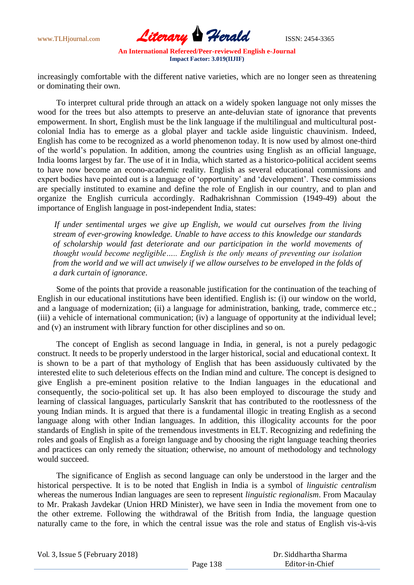

increasingly comfortable with the different native varieties, which are no longer seen as threatening or dominating their own.

 To interpret cultural pride through an attack on a widely spoken language not only misses the wood for the trees but also attempts to preserve an ante-deluvian state of ignorance that prevents empowerment. In short, English must be the link language if the multilingual and multicultural postcolonial India has to emerge as a global player and tackle aside linguistic chauvinism. Indeed, English has come to be recognized as a world phenomenon today. It is now used by almost one-third of the world"s population. In addition, among the countries using English as an official language, India looms largest by far. The use of it in India, which started as a historico-political accident seems to have now become an econo-academic reality. English as several educational commissions and expert bodies have pointed out is a language of "opportunity" and "development". These commissions are specially instituted to examine and define the role of English in our country, and to plan and organize the English curricula accordingly. Radhakrishnan Commission (1949-49) about the importance of English language in post-independent India, states:

 *If under sentimental urges we give up English, we would cut ourselves from the living stream of ever-growing knowledge. Unable to have access to this knowledge our standards of scholarship would fast deteriorate and our participation in the world movements of thought would become negligible….. English is the only means of preventing our isolation from the world and we will act unwisely if we allow ourselves to be enveloped in the folds of a dark curtain of ignorance*.

 Some of the points that provide a reasonable justification for the continuation of the teaching of English in our educational institutions have been identified. English is: (i) our window on the world, and a language of modernization; (ii) a language for administration, banking, trade, commerce etc.; (iii) a vehicle of international communication; (iv) a language of opportunity at the individual level; and (v) an instrument with library function for other disciplines and so on.

 The concept of English as second language in India, in general, is not a purely pedagogic construct. It needs to be properly understood in the larger historical, social and educational context. It is shown to be a part of that mythology of English that has been assiduously cultivated by the interested elite to such deleterious effects on the Indian mind and culture. The concept is designed to give English a pre-eminent position relative to the Indian languages in the educational and consequently, the socio-political set up. It has also been employed to discourage the study and learning of classical languages, particularly Sanskrit that has contributed to the rootlessness of the young Indian minds. It is argued that there is a fundamental illogic in treating English as a second language along with other Indian languages. In addition, this illogicality accounts for the poor standards of English in spite of the tremendous investments in ELT. Recognizing and redefining the roles and goals of English as a foreign language and by choosing the right language teaching theories and practices can only remedy the situation; otherwise, no amount of methodology and technology would succeed.

 The significance of English as second language can only be understood in the larger and the historical perspective. It is to be noted that English in India is a symbol of *linguistic centralism* whereas the numerous Indian languages are seen to represent *linguistic regionalism*. From Macaulay to Mr. Prakash Javdekar (Union HRD Minister), we have seen in India the movement from one to the other extreme. Following the withdrawal of the British from India, the language question naturally came to the fore, in which the central issue was the role and status of English vis-à-vis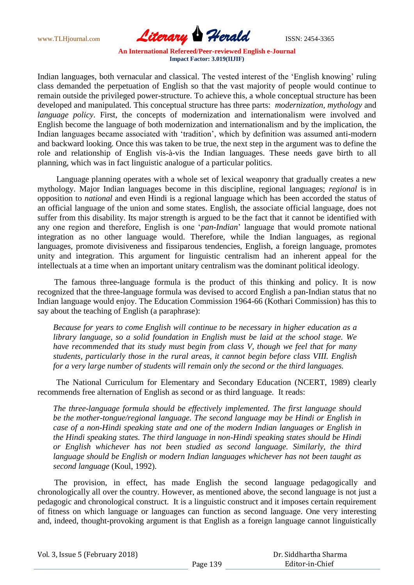

Indian languages, both vernacular and classical. The vested interest of the "English knowing" ruling class demanded the perpetuation of English so that the vast majority of people would continue to remain outside the privileged power-structure. To achieve this, a whole conceptual structure has been developed and manipulated. This conceptual structure has three parts: *modernization, mythology* and *language policy*. First, the concepts of modernization and internationalism were involved and English become the language of both modernization and internationalism and by the implication, the Indian languages became associated with "tradition", which by definition was assumed anti-modern and backward looking. Once this was taken to be true, the next step in the argument was to define the role and relationship of English vis-à-vis the Indian languages. These needs gave birth to all planning, which was in fact linguistic analogue of a particular politics.

 Language planning operates with a whole set of lexical weaponry that gradually creates a new mythology. Major Indian languages become in this discipline, regional languages; *regional* is in opposition to *national* and even Hindi is a regional language which has been accorded the status of an official language of the union and some states. English, the associate official language, does not suffer from this disability. Its major strength is argued to be the fact that it cannot be identified with any one region and therefore, English is one "*pan-Indian*" language that would promote national integration as no other language would. Therefore, while the Indian languages, as regional languages, promote divisiveness and fissiparous tendencies, English, a foreign language, promotes unity and integration. This argument for linguistic centralism had an inherent appeal for the intellectuals at a time when an important unitary centralism was the dominant political ideology.

 The famous three-language formula is the product of this thinking and policy. It is now recognized that the three-language formula was devised to accord English a pan-Indian status that no Indian language would enjoy. The Education Commission 1964-66 (Kothari Commission) has this to say about the teaching of English (a paraphrase):

*Because for years to come English will continue to be necessary in higher education as a library language, so a solid foundation in English must be laid at the school stage. We have recommended that its study must begin from class V, though we feel that for many students, particularly those in the rural areas, it cannot begin before class VIII. English for a very large number of students will remain only the second or the third languages.*

 The National Curriculum for Elementary and Secondary Education (NCERT, 1989) clearly recommends free alternation of English as second or as third language. It reads:

*The three-language formula should be effectively implemented. The first language should be the mother-tongue/regional language. The second language may be Hindi or English in case of a non-Hindi speaking state and one of the modern Indian languages or English in the Hindi speaking states. The third language in non-Hindi speaking states should be Hindi or English whichever has not been studied as second language. Similarly, the third language should be English or modern Indian languages whichever has not been taught as second language* (Koul, 1992).

 The provision, in effect, has made English the second language pedagogically and chronologically all over the country. However, as mentioned above, the second language is not just a pedagogic and chronological construct. It is a linguistic construct and it imposes certain requirement of fitness on which language or languages can function as second language. One very interesting and, indeed, thought-provoking argument is that English as a foreign language cannot linguistically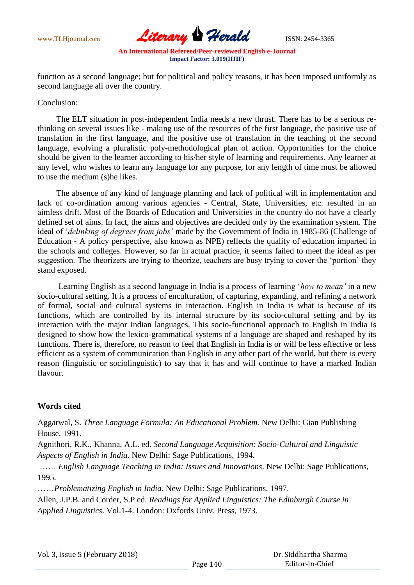

function as a second language; but for political and policy reasons, it has been imposed uniformly as second language all over the country.

#### Conclusion:

 The ELT situation in post-independent India needs a new thrust. There has to be a serious rethinking on several issues like - making use of the resources of the first language, the positive use of translation in the first language, and the positive use of translation in the teaching of the second language, evolving a pluralistic poly-methodological plan of action. Opportunities for the choice should be given to the learner according to his/her style of learning and requirements. Any learner at any level, who wishes to learn any language for any purpose, for any length of time must be allowed to use the medium (s)he likes.

 The absence of any kind of language planning and lack of political will in implementation and lack of co-ordination among various agencies - Central, State, Universities, etc. resulted in an aimless drift. Most of the Boards of Education and Universities in the country do not have a clearly defined set of aims. In fact, the aims and objectives are decided only by the examination system. The ideal of "*delinking of degrees from jobs'* made by the Government of India in 1985-86 (Challenge of Education - A policy perspective, also known as NPE) reflects the quality of education imparted in the schools and colleges. However, so far in actual practice, it seems failed to meet the ideal as per suggestion. The theorizers are trying to theorize, teachers are busy trying to cover the 'portion' they stand exposed.

 Learning English as a second language in India is a process of learning "*how to mean'* in a new socio-cultural setting. It is a process of enculturation, of capturing, expanding, and refining a network of formal, social and cultural systems in interaction. English in India is what is because of its functions, which are controlled by its internal structure by its socio-cultural setting and by its interaction with the major Indian languages. This socio-functional approach to English in India is designed to show how the lexico-grammatical systems of a language are shaped and reshaped by its functions. There is, therefore, no reason to feel that English in India is or will be less effective or less efficient as a system of communication than English in any other part of the world, but there is every reason (linguistic or sociolinguistic) to say that it has and will continue to have a marked Indian flavour.

## **Words cited**

Aggarwal, S. *Three Language Formula: An Educational Problem.* New Delhi: Gian Publishing House, 1991.

Agnithori, R.K., Khanna, A.L. ed. *Second Language Acquisition: Socio-Cultural and Linguistic Aspects of English in India*. New Delhi: Sage Publications, 1994.

…… *English Language Teaching in India: Issues and Innovations*. New Delhi: Sage Publications, 1995*.*

……*Problematizing English in India*. New Delhi: Sage Publications, 1997.

Allen, J.P.B. and Corder, S.P ed. *Readings for Applied Linguistics: The Edinburgh Course in Applied Linguistics*. Vol.1-4. London: Oxfords Univ. Press, 1973.